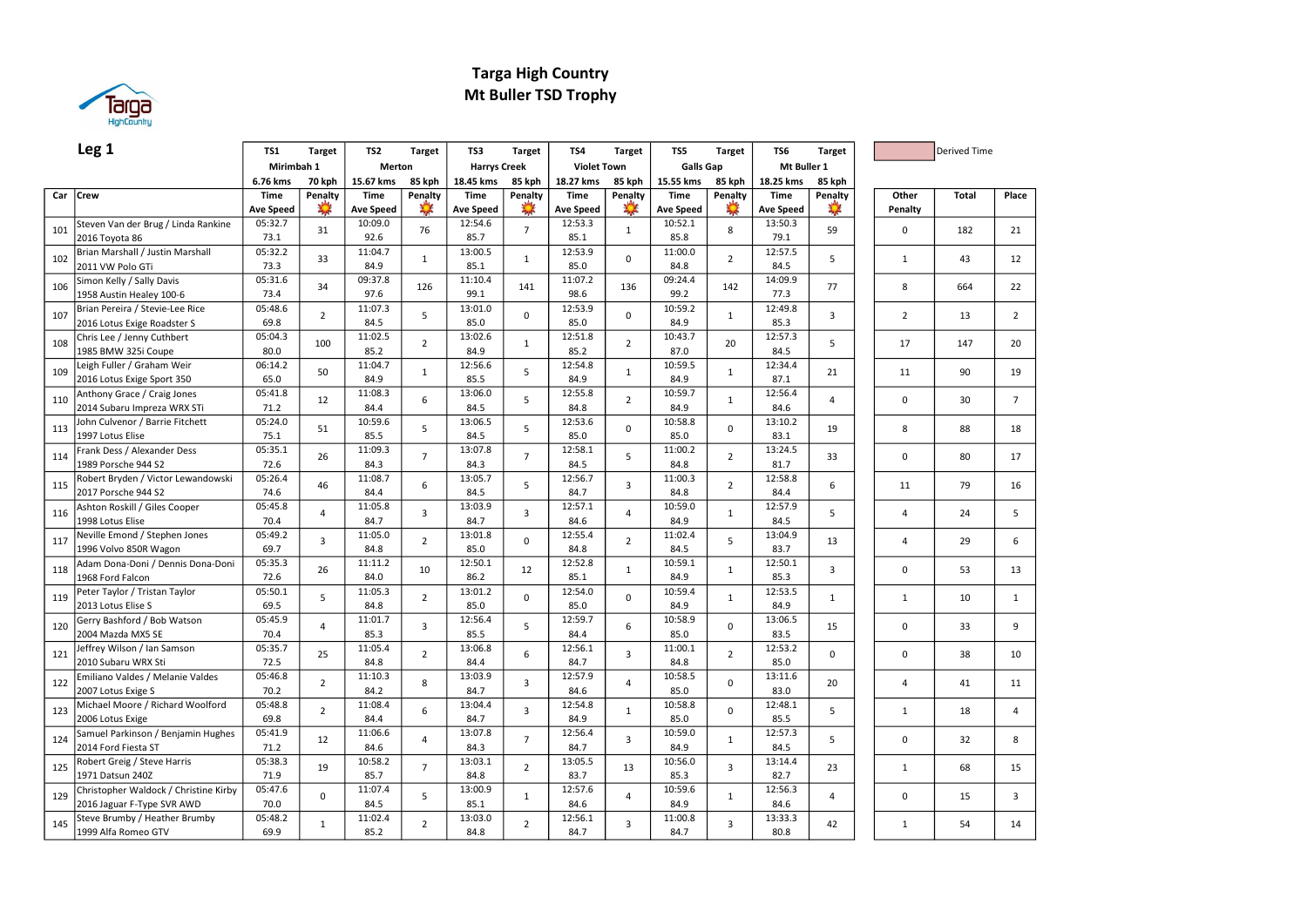

### Targa High Country Mt Buller TSD Trophy

|     | Leg <sub>1</sub>                                          | <b>TS1</b>       | <b>Target</b>  | TS <sub>2</sub>  | <b>Target</b>  | TS3                 | <b>Target</b>  | TS4                | <b>Target</b>  | TS5              | <b>Target</b>  | TS6              | <b>Target</b>  |                | Derived Time |                |
|-----|-----------------------------------------------------------|------------------|----------------|------------------|----------------|---------------------|----------------|--------------------|----------------|------------------|----------------|------------------|----------------|----------------|--------------|----------------|
|     |                                                           | Mirimbah 1       |                | Merton           |                | <b>Harrys Creek</b> |                | <b>Violet Town</b> |                | <b>Galls Gap</b> |                | Mt Buller 1      |                |                |              |                |
|     |                                                           | 6.76 kms         | <b>70 kph</b>  | 15.67 kms        | 85 kph         | 18.45 kms           | 85 kph         | 18.27 kms          | 85 kph         | 15.55 kms        | 85 kph         | 18.25 kms        | 85 kph         |                |              |                |
| Car | <b>Crew</b>                                               | <b>Time</b>      | Penalty        | <b>Time</b>      | Penalty        | <b>Time</b>         | Penalty        | <b>Time</b>        | Penalty        | <b>Time</b>      | Penalty        | <b>Time</b>      | Penalty        | Other          | <b>Total</b> | Place          |
|     |                                                           | <b>Ave Speed</b> |                | <b>Ave Speed</b> |                | <b>Ave Speed</b>    |                | <b>Ave Speed</b>   |                | <b>Ave Speed</b> |                | <b>Ave Speed</b> |                | Penalty        |              |                |
| 101 | Steven Van der Brug / Linda Rankine                       | 05:32.7          | 31             | 10:09.0          | 76             | 12:54.6             | $\overline{7}$ | 12:53.3            | $\mathbf{1}$   | 10:52.1          | 8              | 13:50.3          | 59             | $\mathbf 0$    | 182          | 21             |
|     | 2016 Toyota 86                                            | 73.1             |                | 92.6             |                | 85.7                |                | 85.1               |                | 85.8             |                | 79.1             |                |                |              |                |
| 102 | Brian Marshall / Justin Marshall                          | 05:32.2          | 33             | 11:04.7          | $\mathbf{1}$   | 13:00.5             | $\mathbf{1}$   | 12:53.9            | $\Omega$       | 11:00.0          | $\overline{2}$ | 12:57.5          | 5              | $\mathbf{1}$   | 43           | 12             |
|     | 2011 VW Polo GTi                                          | 73.3             |                | 84.9             |                | 85.1                |                | 85.0               |                | 84.8             |                | 84.5             |                |                |              |                |
| 106 | Simon Kelly / Sally Davis                                 | 05:31.6          | 34             | 09:37.8          | 126            | 11:10.4             | 141            | 11:07.2            | 136            | 09:24.4          | 142            | 14:09.9          | 77             | 8              | 664          | 22             |
|     | 1958 Austin Healey 100-6                                  | 73.4             |                | 97.6             |                | 99.1                |                | 98.6               |                | 99.2             |                | 77.3             |                |                |              |                |
| 107 | Brian Pereira / Stevie-Lee Rice                           | 05:48.6          | $\overline{2}$ | 11:07.3          | 5              | 13:01.0             | $\mathbf 0$    | 12:53.9            | $\mathbf 0$    | 10:59.2          | $\mathbf{1}$   | 12:49.8          | $\overline{3}$ | $\overline{2}$ | 13           | $\overline{2}$ |
|     | 2016 Lotus Exige Roadster S                               | 69.8             |                | 84.5             |                | 85.0                |                | 85.0               |                | 84.9             |                | 85.3             |                |                |              |                |
| 108 | Chris Lee / Jenny Cuthbert                                | 05:04.3          | 100            | 11:02.5          | $\overline{2}$ | 13:02.6             | $\mathbf{1}$   | 12:51.8            | $\overline{2}$ | 10:43.7          | 20             | 12:57.3          | 5              | 17             | 147          | 20             |
|     | 1985 BMW 325i Coupe                                       | 80.0             |                | 85.2             |                | 84.9                |                | 85.2               |                | 87.0             |                | 84.5             |                |                |              |                |
| 109 | Leigh Fuller / Graham Weir                                | 06:14.2<br>65.0  | 50             | 11:04.7<br>84.9  | $\mathbf{1}$   | 12:56.6<br>85.5     | 5              | 12:54.8<br>84.9    | $\mathbf{1}$   | 10:59.5<br>84.9  | $\mathbf{1}$   | 12:34.4<br>87.1  | 21             | 11             | 90           | 19             |
|     | 2016 Lotus Exige Sport 350<br>Anthony Grace / Craig Jones | 05:41.8          |                | 11:08.3          |                | 13:06.0             |                | 12:55.8            |                | 10:59.7          |                | 12:56.4          |                |                |              |                |
| 110 | 2014 Subaru Impreza WRX STi                               | 71.2             | 12             | 84.4             | 6              | 84.5                | 5              | 84.8               | $\overline{2}$ | 84.9             | $\mathbf{1}$   | 84.6             | $\overline{4}$ | $\mathbf 0$    | 30           | $\overline{7}$ |
|     | John Culvenor / Barrie Fitchett                           | 05:24.0          |                | 10:59.6          |                | 13:06.5             |                | 12:53.6            |                | 10:58.8          |                | 13:10.2          |                |                |              |                |
| 113 | 1997 Lotus Elise                                          | 75.1             | 51             | 85.5             | 5              | 84.5                | 5              | 85.0               | $\mathbf 0$    | 85.0             | $\mathbf 0$    | 83.1             | 19             | 8              | 88           | 18             |
|     | Frank Dess / Alexander Dess                               | 05:35.1          |                | 11:09.3          |                | 13:07.8             |                | 12:58.1            |                | 11:00.2          |                | 13:24.5          |                |                |              |                |
| 114 | 1989 Porsche 944 S2                                       | 72.6             | 26             | 84.3             | $\overline{7}$ | 84.3                | $\overline{7}$ | 84.5               | 5              | 84.8             | $\overline{2}$ | 81.7             | 33             | $\mathbf 0$    | 80           | 17             |
|     | Robert Bryden / Victor Lewandowski                        | 05:26.4          |                | 11:08.7          |                | 13:05.7             |                | 12:56.7            |                | 11:00.3          |                | 12:58.8          |                |                |              |                |
| 115 | 2017 Porsche 944 S2                                       | 74.6             | 46             | 84.4             | 6              | 84.5                | 5              | 84.7               | $\overline{3}$ | 84.8             | $\overline{2}$ | 84.4             | 6              | 11             | 79           | 16             |
|     | Ashton Roskill / Giles Cooper                             | 05:45.8          |                | 11:05.8          |                | 13:03.9             |                | 12:57.1            |                | 10:59.0          |                | 12:57.9          |                |                |              |                |
| 116 | 1998 Lotus Elise                                          | 70.4             | 4              | 84.7             | 3              | 84.7                | 3              | 84.6               | $\overline{4}$ | 84.9             | $\mathbf{1}$   | 84.5             | 5              | $\overline{4}$ | 24           | 5              |
| 117 | Neville Emond / Stephen Jones                             | 05:49.2          | $\overline{3}$ | 11:05.0          | $\overline{2}$ | 13:01.8             | $\mathbf 0$    | 12:55.4            | $\overline{2}$ | 11:02.4          | 5              | 13:04.9          | 13             | $\overline{4}$ | 29           | 6              |
|     | 1996 Volvo 850R Wagon                                     | 69.7             |                | 84.8             |                | 85.0                |                | 84.8               |                | 84.5             |                | 83.7             |                |                |              |                |
| 118 | Adam Dona-Doni / Dennis Dona-Doni                         | 05:35.3          | 26             | 11:11.2          | 10             | 12:50.1             | 12             | 12:52.8            | $\mathbf{1}$   | 10:59.1          | $\mathbf{1}$   | 12:50.1          | 3              | $\mathbf 0$    | 53           | 13             |
|     | 1968 Ford Falcon                                          | 72.6             |                | 84.0             |                | 86.2                |                | 85.1               |                | 84.9             |                | 85.3             |                |                |              |                |
| 119 | Peter Taylor / Tristan Taylor                             | 05:50.1          | 5              | 11:05.3          | $\overline{2}$ | 13:01.2             | $\mathbf 0$    | 12:54.0            | $\mathbf 0$    | 10:59.4          | $\mathbf{1}$   | 12:53.5          | $\mathbf{1}$   | $\mathbf{1}$   | 10           | $\mathbf{1}$   |
|     | 2013 Lotus Elise S                                        | 69.5             |                | 84.8             |                | 85.0                |                | 85.0               |                | 84.9             |                | 84.9             |                |                |              |                |
| 120 | Gerry Bashford / Bob Watson                               | 05:45.9          | $\overline{4}$ | 11:01.7          | $\overline{3}$ | 12:56.4             | 5              | 12:59.7            | 6              | 10:58.9          | $\mathbf 0$    | 13:06.5          | 15             | $\mathbf 0$    | 33           | 9              |
|     | 2004 Mazda MX5 SE                                         | 70.4             |                | 85.3             |                | 85.5                |                | 84.4               |                | 85.0             |                | 83.5             |                |                |              |                |
| 121 | Jeffrey Wilson / Ian Samson                               | 05:35.7          | 25             | 11:05.4          | $\overline{2}$ | 13:06.8             | 6              | 12:56.1            | 3              | 11:00.1          | $\overline{2}$ | 12:53.2          | $\Omega$       | $\mathbf 0$    | 38           | 10             |
|     | 2010 Subaru WRX Sti                                       | 72.5             |                | 84.8             |                | 84.4                |                | 84.7               |                | 84.8             |                | 85.0             |                |                |              |                |
| 122 | Emiliano Valdes / Melanie Valdes                          | 05:46.8          | $\overline{2}$ | 11:10.3          | 8              | 13:03.9             | $\overline{3}$ | 12:57.9            | $\overline{4}$ | 10:58.5          | $\mathbf 0$    | 13:11.6          | 20             | $\overline{4}$ | 41           | 11             |
|     | 2007 Lotus Exige S                                        | 70.2             |                | 84.2             |                | 84.7                |                | 84.6               |                | 85.0             |                | 83.0             |                |                |              |                |
| 123 | Michael Moore / Richard Woolford                          | 05:48.8<br>69.8  | $\overline{2}$ | 11:08.4          | 6              | 13:04.4             | 3              | 12:54.8<br>84.9    | $\mathbf{1}$   | 10:58.8          | $\mathbf 0$    | 12:48.1          | 5              | $\mathbf{1}$   | 18           | $\overline{4}$ |
|     | 2006 Lotus Exige<br>Samuel Parkinson / Benjamin Hughes    | 05:41.9          |                | 84.4<br>11:06.6  |                | 84.7<br>13:07.8     |                | 12:56.4            |                | 85.0<br>10:59.0  |                | 85.5<br>12:57.3  |                |                |              |                |
| 124 | 2014 Ford Fiesta ST                                       | 71.2             | 12             | 84.6             | 4              | 84.3                | $\overline{7}$ | 84.7               | $\overline{3}$ | 84.9             | $\mathbf{1}$   | 84.5             | 5              | $\Omega$       | 32           | 8              |
|     | Robert Greig / Steve Harris                               | 05:38.3          |                | 10:58.2          |                | 13:03.1             |                | 13:05.5            |                | 10:56.0          |                | 13:14.4          |                |                |              |                |
| 125 | 1971 Datsun 240Z                                          | 71.9             | 19             | 85.7             | $\overline{7}$ | 84.8                | $\overline{2}$ | 83.7               | 13             | 85.3             | $\overline{3}$ | 82.7             | 23             | $\mathbf{1}$   | 68           | 15             |
|     | Christopher Waldock / Christine Kirby                     | 05:47.6          |                | 11:07.4          |                | 13:00.9             |                | 12:57.6            |                | 10:59.6          |                | 12:56.3          |                |                |              |                |
| 129 | 2016 Jaguar F-Type SVR AWD                                | 70.0             | $\Omega$       | 84.5             | 5              | 85.1                | $\mathbf{1}$   | 84.6               | $\overline{4}$ | 84.9             | $\mathbf{1}$   | 84.6             | 4              | $\Omega$       | 15           | $\overline{3}$ |
|     | Steve Brumby / Heather Brumby                             | 05:48.2          |                | 11:02.4          |                | 13:03.0             |                | 12:56.1            |                | 11:00.8          |                | 13:33.3          |                |                |              |                |
| 145 | 1999 Alfa Romeo GTV                                       | 69.9             | $\mathbf{1}$   | 85.2             | $\overline{2}$ | 84.8                | $\overline{2}$ | 84.7               | $\overline{3}$ | 84.7             | $\overline{3}$ | 80.8             | 42             | $\mathbf{1}$   | 54           | 14             |
|     |                                                           |                  |                |                  |                |                     |                |                    |                |                  |                |                  |                |                |              |                |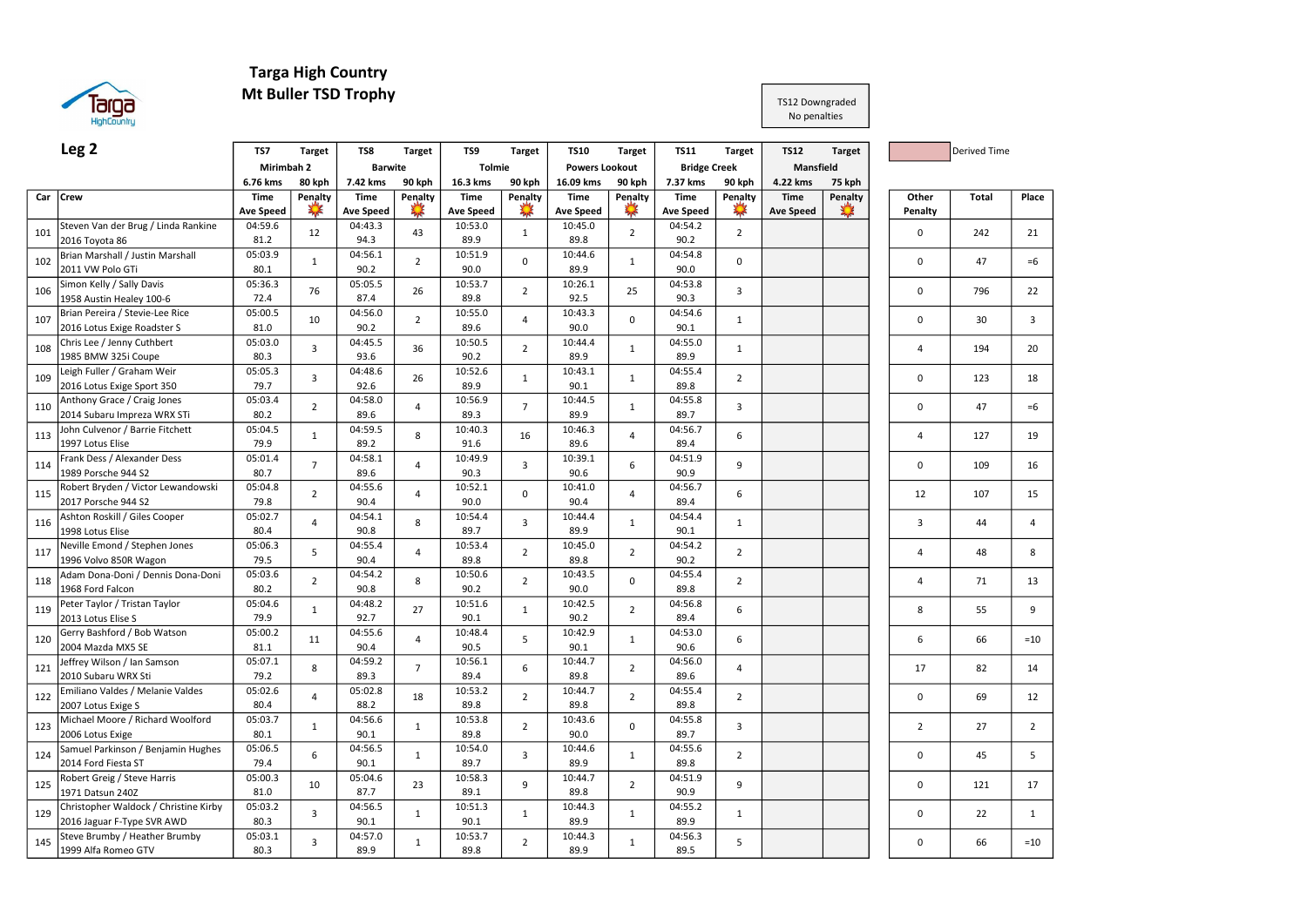

## Targa High Country

## Mt Buller TSD Trophy

#### TS12 Downgraded No penalties

|     | Leg <sub>2</sub>                                                    | TS7                             | <b>Target</b>           | TS8                             | <b>Target</b>  | TS9                             | <b>Target</b>  | <b>TS10</b>                     | <b>Target</b>  | <b>TS11</b>                     | <b>Target</b>            | <b>TS12</b>                     | <b>Target</b>  |                  | <b>Derived Time</b> |                |
|-----|---------------------------------------------------------------------|---------------------------------|-------------------------|---------------------------------|----------------|---------------------------------|----------------|---------------------------------|----------------|---------------------------------|--------------------------|---------------------------------|----------------|------------------|---------------------|----------------|
|     |                                                                     | Mirimbah 2                      |                         | <b>Barwite</b>                  |                | <b>Tolmie</b>                   |                | <b>Powers Lookout</b>           |                | <b>Bridge Creek</b>             |                          | Mansfield                       |                |                  |                     |                |
|     |                                                                     | 6.76 kms                        | 80 kph                  | 7.42 kms                        | 90 kph         | 16.3 kms                        | 90 kph         | 16.09 kms                       | 90 kph         | 7.37 kms                        | 90 kph                   | 4.22 kms                        | 75 kph         |                  |                     |                |
| Car | <b>Crew</b>                                                         | <b>Time</b><br><b>Ave Speed</b> | Penalty                 | <b>Time</b><br><b>Ave Speed</b> | Penalty        | <b>Time</b><br><b>Ave Speed</b> | Penalty        | <b>Time</b><br><b>Ave Speed</b> | Penalty        | <b>Time</b><br><b>Ave Speed</b> | Penalty<br>$\frac{1}{2}$ | <b>Time</b><br><b>Ave Speed</b> | Penalty<br>X.X | Other<br>Penalty | <b>Total</b>        | Place          |
| 101 | Steven Van der Brug / Linda Rankine<br>2016 Toyota 86               | 04:59.6<br>81.2                 | 12                      | 04:43.3<br>94.3                 | 43             | 10:53.0<br>89.9                 | $\mathbf{1}$   | 10:45.0<br>89.8                 | $\overline{2}$ | 04:54.2<br>90.2                 | $\overline{2}$           |                                 |                | $\mathbf 0$      | 242                 | 21             |
| 102 | Brian Marshall / Justin Marshall<br>2011 VW Polo GTi                | 05:03.9<br>80.1                 | $\mathbf{1}$            | 04:56.1<br>90.2                 | $\overline{2}$ | 10:51.9<br>90.0                 | $\mathbf 0$    | 10:44.6<br>89.9                 | $\mathbf{1}$   | 04:54.8<br>90.0                 | $\mathbf 0$              |                                 |                | $\mathbf 0$      | 47                  | $=6$           |
| 106 | Simon Kelly / Sally Davis<br>1958 Austin Healey 100-6               | 05:36.3<br>72.4                 | 76                      | 05:05.5<br>87.4                 | 26             | 10:53.7<br>89.8                 | $\overline{2}$ | 10:26.1<br>92.5                 | 25             | 04:53.8<br>90.3                 | $\overline{3}$           |                                 |                | $\pmb{0}$        | 796                 | 22             |
| 107 | Brian Pereira / Stevie-Lee Rice<br>2016 Lotus Exige Roadster S      | 05:00.5<br>81.0                 | 10                      | 04:56.0<br>90.2                 | $\overline{2}$ | 10:55.0<br>89.6                 | $\overline{4}$ | 10:43.3<br>90.0                 | $\Omega$       | 04:54.6<br>90.1                 | $\mathbf{1}$             |                                 |                | $\mathbf 0$      | 30                  | 3              |
| 108 | Chris Lee / Jenny Cuthbert<br>1985 BMW 325i Coupe                   | 05:03.0<br>80.3                 | $\overline{3}$          | 04:45.5<br>93.6                 | 36             | 10:50.5<br>90.2                 | $\overline{2}$ | 10:44.4<br>89.9                 | $\mathbf{1}$   | 04:55.0<br>89.9                 | $\mathbf{1}$             |                                 |                | $\overline{4}$   | 194                 | 20             |
| 109 | Leigh Fuller / Graham Weir<br>2016 Lotus Exige Sport 350            | 05:05.3<br>79.7                 | $\overline{3}$          | 04:48.6<br>92.6                 | 26             | 10:52.6<br>89.9                 | $\mathbf{1}$   | 10:43.1<br>90.1                 | $\mathbf 1$    | 04:55.4<br>89.8                 | $\overline{2}$           |                                 |                | $\mathbf 0$      | 123                 | 18             |
| 110 | Anthony Grace / Craig Jones<br>2014 Subaru Impreza WRX STi          | 05:03.4<br>80.2                 | $\overline{2}$          | 04:58.0<br>89.6                 | $\overline{4}$ | 10:56.9<br>89.3                 | $\overline{7}$ | 10:44.5<br>89.9                 | $\mathbf{1}$   | 04:55.8<br>89.7                 | 3                        |                                 |                | $\mathbf 0$      | 47                  | $=6$           |
| 113 | John Culvenor / Barrie Fitchett<br>1997 Lotus Elise                 | 05:04.5<br>79.9                 | $\mathbf{1}$            | 04:59.5<br>89.2                 | 8              | 10:40.3<br>91.6                 | 16             | 10:46.3<br>89.6                 | $\overline{4}$ | 04:56.7<br>89.4                 | 6                        |                                 |                | 4                | 127                 | 19             |
| 114 | Frank Dess / Alexander Dess<br>1989 Porsche 944 S2                  | 05:01.4<br>80.7                 | $\overline{7}$          | 04:58.1<br>89.6                 | 4              | 10:49.9<br>90.3                 | $\overline{3}$ | 10:39.1<br>90.6                 | 6              | 04:51.9<br>90.9                 | 9                        |                                 |                | $\mathbf 0$      | 109                 | 16             |
| 115 | Robert Bryden / Victor Lewandowski<br>2017 Porsche 944 S2           | 05:04.8<br>79.8                 | $\overline{2}$          | 04:55.6<br>90.4                 | $\overline{4}$ | 10:52.1<br>90.0                 | $\Omega$       | 10:41.0<br>90.4                 | 4              | 04:56.7<br>89.4                 | 6                        |                                 |                | 12               | 107                 | 15             |
| 116 | Ashton Roskill / Giles Cooper<br>1998 Lotus Elise                   | 05:02.7<br>80.4                 | $\overline{4}$          | 04:54.1<br>90.8                 | 8              | 10:54.4<br>89.7                 | $\overline{3}$ | 10:44.4<br>89.9                 | $\mathbf{1}$   | 04:54.4<br>90.1                 | $\mathbf{1}$             |                                 |                | 3                | 44                  | $\overline{4}$ |
| 117 | Neville Emond / Stephen Jones<br>1996 Volvo 850R Wagon              | 05:06.3<br>79.5                 | 5                       | 04:55.4<br>90.4                 | 4              | 10:53.4<br>89.8                 | $\overline{2}$ | 10:45.0<br>89.8                 | $\overline{2}$ | 04:54.2<br>90.2                 | $\overline{2}$           |                                 |                | $\overline{4}$   | 48                  | 8              |
| 118 | Adam Dona-Doni / Dennis Dona-Doni<br>1968 Ford Falcon               | 05:03.6<br>80.2                 | $\overline{2}$          | 04:54.2<br>90.8                 | 8              | 10:50.6<br>90.2                 | $\overline{2}$ | 10:43.5<br>90.0                 | $\Omega$       | 04:55.4<br>89.8                 | $\overline{2}$           |                                 |                | $\overline{4}$   | 71                  | 13             |
| 119 | Peter Taylor / Tristan Taylor<br>2013 Lotus Elise S                 | 05:04.6<br>79.9                 | $\mathbf{1}$            | 04:48.2<br>92.7                 | 27             | 10:51.6<br>90.1                 | $\mathbf{1}$   | 10:42.5<br>90.2                 | $\overline{2}$ | 04:56.8<br>89.4                 | 6                        |                                 |                | 8                | 55                  | 9              |
| 120 | Gerry Bashford / Bob Watson<br>2004 Mazda MX5 SE                    | 05:00.2<br>81.1                 | 11                      | 04:55.6<br>90.4                 | $\overline{4}$ | 10:48.4<br>90.5                 | 5              | 10:42.9<br>90.1                 | $\mathbf{1}$   | 04:53.0<br>90.6                 | 6                        |                                 |                | 6                | 66                  | $=10$          |
| 121 | Jeffrey Wilson / Ian Samson<br>2010 Subaru WRX Sti                  | 05:07.1<br>79.2                 | 8                       | 04:59.2<br>89.3                 | $\overline{7}$ | 10:56.1<br>89.4                 | 6              | 10:44.7<br>89.8                 | $\overline{2}$ | 04:56.0<br>89.6                 | $\overline{4}$           |                                 |                | 17               | 82                  | 14             |
| 122 | Emiliano Valdes / Melanie Valdes<br>2007 Lotus Exige S              | 05:02.6<br>80.4                 | $\overline{4}$          | 05:02.8<br>88.2                 | 18             | 10:53.2<br>89.8                 | $\overline{2}$ | 10:44.7<br>89.8                 | $\overline{2}$ | 04:55.4<br>89.8                 | $\overline{2}$           |                                 |                | $\pmb{0}$        | 69                  | 12             |
| 123 | Michael Moore / Richard Woolford<br>2006 Lotus Exige                | 05:03.7<br>80.1                 | $\mathbf{1}$            | 04:56.6<br>90.1                 | $\mathbf{1}$   | 10:53.8<br>89.8                 | $\overline{2}$ | 10:43.6<br>90.0                 | $\Omega$       | 04:55.8<br>89.7                 | $\overline{3}$           |                                 |                | $\overline{2}$   | 27                  | $\overline{2}$ |
| 124 | Samuel Parkinson / Benjamin Hughes<br>2014 Ford Fiesta ST           | 05:06.5<br>79.4                 | 6                       | 04:56.5<br>90.1                 | $\mathbf{1}$   | 10:54.0<br>89.7                 | $\overline{3}$ | 10:44.6<br>89.9                 | $\mathbf{1}$   | 04:55.6<br>89.8                 | $\overline{2}$           |                                 |                | $\mathbf 0$      | 45                  | 5              |
| 125 | Robert Greig / Steve Harris<br>1971 Datsun 240Z                     | 05:00.3<br>81.0                 | 10                      | 05:04.6<br>87.7                 | 23             | 10:58.3<br>89.1                 | $\overline{9}$ | 10:44.7<br>89.8                 | $\overline{2}$ | 04:51.9<br>90.9                 | 9                        |                                 |                | $\mathbf 0$      | 121                 | 17             |
| 129 | Christopher Waldock / Christine Kirby<br>2016 Jaguar F-Type SVR AWD | 05:03.2<br>80.3                 | $\overline{3}$          | 04:56.5<br>90.1                 | $\mathbf{1}$   | 10:51.3<br>90.1                 | $\mathbf{1}$   | 10:44.3<br>89.9                 | $1\,$          | 04:55.2<br>89.9                 | $\mathbf{1}$             |                                 |                | $\mathbf 0$      | 22                  | $\mathbf{1}$   |
| 145 | Steve Brumby / Heather Brumby<br>1999 Alfa Romeo GTV                | 05:03.1<br>80.3                 | $\overline{\mathbf{3}}$ | 04:57.0<br>89.9                 | $\mathbf{1}$   | 10:53.7<br>89.8                 | $\overline{2}$ | 10:44.3<br>89.9                 | $1\,$          | 04:56.3<br>89.5                 | 5                        |                                 |                | $\Omega$         | 66                  | $=10$          |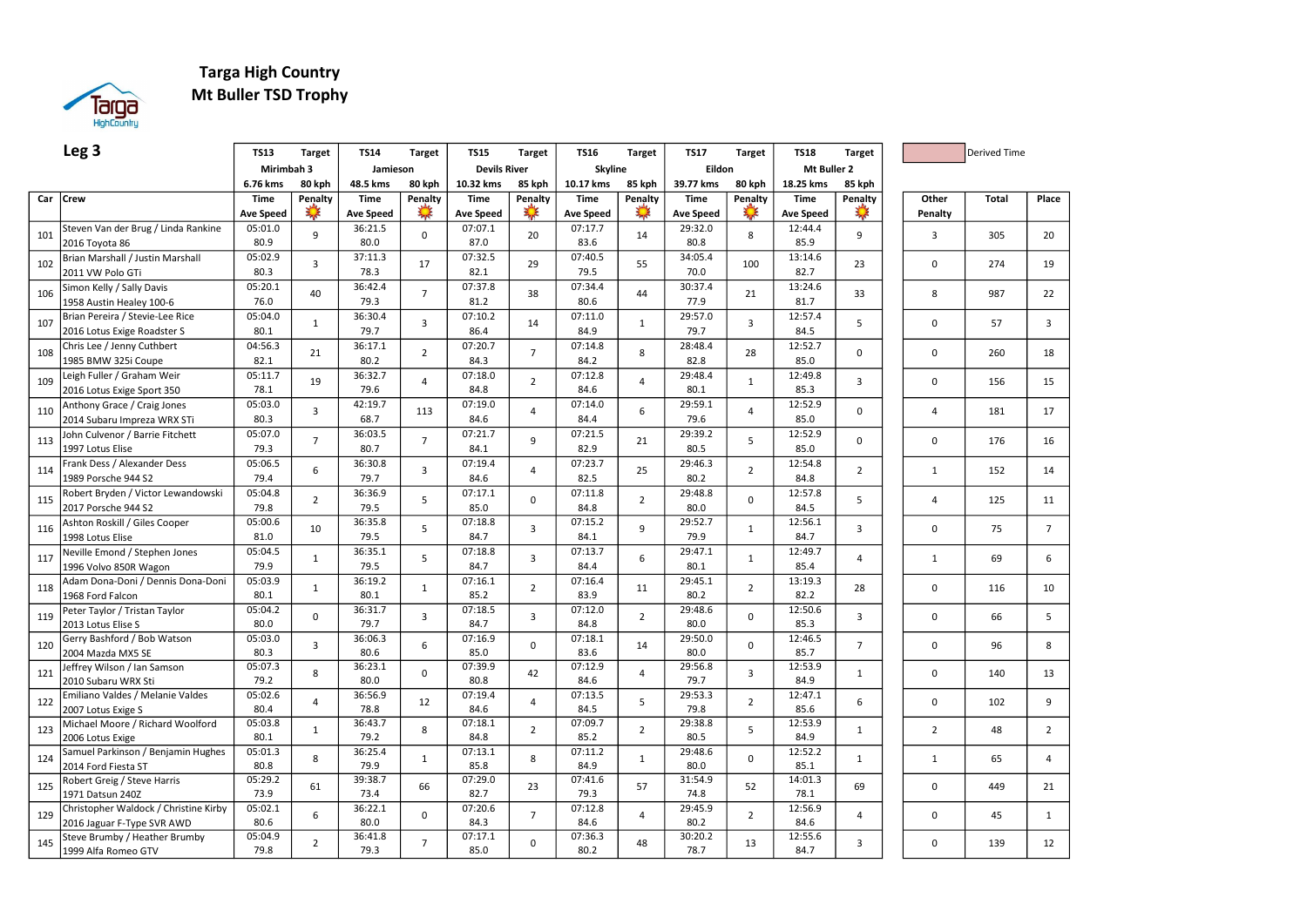

## Targa High Country Mt Buller TSD Trophy

|     | Leg <sub>3</sub>                                   | <b>TS13</b>      | <b>Target</b>  | <b>TS14</b>      | <b>Target</b>  | <b>TS15</b>         | Target         | <b>TS16</b>      | <b>Target</b>    | <b>TS17</b>      | <b>Target</b>  | <b>TS18</b>      | <b>Target</b>  |                | <b>Derived Time</b> |                |
|-----|----------------------------------------------------|------------------|----------------|------------------|----------------|---------------------|----------------|------------------|------------------|------------------|----------------|------------------|----------------|----------------|---------------------|----------------|
|     |                                                    | Mirimbah 3       |                | Jamieson         |                | <b>Devils River</b> |                | Skyline          |                  | Eildon           |                | Mt Buller 2      |                |                |                     |                |
|     |                                                    | 6.76 kms         | 80 kph         | 48.5 kms         | 80 kph         | 10.32 kms           | 85 kph         | 10.17 kms        | 85 kph           | 39.77 kms        | 80 kph         | 18.25 kms        | 85 kph         |                |                     |                |
|     | Car Crew                                           | <b>Time</b>      | Penalty        | Time             | Penalty        | <b>Time</b>         | Penalty        | Time             | Penalty          | Time             | Penalty        | <b>Time</b>      | Penalty        | Other          | <b>Total</b>        | Place          |
|     |                                                    | <b>Ave Speed</b> | $\frac{1}{2}$  | <b>Ave Speed</b> | A.A            | <b>Ave Speed</b>    | A.F            | <b>Ave Speed</b> | $\sum_{i=1}^{n}$ | <b>Ave Speed</b> | L,             | <b>Ave Speed</b> |                | Penalty        |                     |                |
|     | Steven Van der Brug / Linda Rankine                | 05:01.0          |                | 36:21.5          |                | 07:07.1             |                | 07:17.7          |                  | 29:32.0          |                | 12:44.4          |                |                |                     |                |
| 101 | 2016 Toyota 86                                     | 80.9             | 9              | 80.0             | $\mathbf 0$    | 87.0                | 20             | 83.6             | 14               | 80.8             | 8              | 85.9             | 9              | 3              | 305                 | 20             |
|     | Brian Marshall / Justin Marshall                   | 05:02.9          |                | 37:11.3          |                | 07:32.5             |                | 07:40.5          |                  | 34:05.4          |                | 13:14.6          |                |                |                     |                |
| 102 | 2011 VW Polo GTi                                   | 80.3             | 3              | 78.3             | 17             | 82.1                | 29             | 79.5             | 55               | 70.0             | 100            | 82.7             | 23             | $\mathbf 0$    | 274                 | 19             |
|     | Simon Kelly / Sally Davis                          | 05:20.1          |                | 36:42.4          |                | 07:37.8             |                | 07:34.4          |                  | 30:37.4          |                | 13:24.6          |                |                |                     |                |
| 106 | 1958 Austin Healey 100-6                           | 76.0             | 40             | 79.3             | $\overline{7}$ | 81.2                | 38             | 80.6             | 44               | 77.9             | 21             | 81.7             | 33             | 8              | 987                 | 22             |
|     | Brian Pereira / Stevie-Lee Rice                    | 05:04.0          |                | 36:30.4          |                | 07:10.2             |                | 07:11.0          |                  | 29:57.0          |                | 12:57.4          |                |                |                     |                |
| 107 | 2016 Lotus Exige Roadster S                        | 80.1             | $\mathbf{1}$   | 79.7             | $\overline{3}$ | 86.4                | 14             | 84.9             | $\mathbf{1}$     | 79.7             | 3              | 84.5             | 5              | $\Omega$       | 57                  | 3              |
|     | Chris Lee / Jenny Cuthbert                         | 04:56.3          |                | 36:17.1          |                | 07:20.7             |                | 07:14.8          |                  | 28:48.4          |                | 12:52.7          |                |                |                     |                |
| 108 | 1985 BMW 325i Coupe                                | 82.1             | 21             | 80.2             | $\overline{2}$ | 84.3                | $\overline{7}$ | 84.2             | 8                | 82.8             | 28             | 85.0             | 0              | $\Omega$       | 260                 | 18             |
|     | Leigh Fuller / Graham Weir                         | 05:11.7          |                | 36:32.7          | $\overline{4}$ | 07:18.0             | $\overline{2}$ | 07:12.8          | $\overline{4}$   | 29:48.4          |                | 12:49.8          |                | $\Omega$       |                     |                |
| 109 | 2016 Lotus Exige Sport 350                         | 78.1             | 19             | 79.6             |                | 84.8                |                | 84.6             |                  | 80.1             | $\mathbf{1}$   | 85.3             | 3              |                | 156                 | 15             |
|     | Anthony Grace / Craig Jones                        | 05:03.0          |                | 42:19.7          |                | 07:19.0             |                | 07:14.0          |                  | 29:59.1          |                | 12:52.9          |                |                |                     |                |
| 110 | 2014 Subaru Impreza WRX STi                        | 80.3             | 3              | 68.7             | 113            | 84.6                | $\overline{4}$ | 84.4             | 6                | 79.6             | $\overline{4}$ | 85.0             | 0              | $\overline{4}$ | 181                 | 17             |
| 113 | John Culvenor / Barrie Fitchett                    | 05:07.0          | $\overline{7}$ | 36:03.5          | $\overline{7}$ | 07:21.7             | 9              | 07:21.5          | 21               | 29:39.2          | 5              | 12:52.9          | $\Omega$       | $\Omega$       | 176                 | 16             |
|     | 1997 Lotus Elise                                   | 79.3             |                | 80.7             |                | 84.1                |                | 82.9             |                  | 80.5             |                | 85.0             |                |                |                     |                |
|     | Frank Dess / Alexander Dess                        | 05:06.5          | 6              | 36:30.8          | $\overline{3}$ | 07:19.4             | $\overline{4}$ | 07:23.7          | 25               | 29:46.3          | $\overline{2}$ | 12:54.8          |                | $\mathbf{1}$   | 152                 |                |
| 114 | 1989 Porsche 944 S2                                | 79.4             |                | 79.7             |                | 84.6                |                | 82.5             |                  | 80.2             |                | 84.8             | $\overline{2}$ |                |                     | 14             |
|     | Robert Bryden / Victor Lewandowski                 | 05:04.8          | $\overline{2}$ | 36:36.9          | 5              | 07:17.1             | $\mathbf 0$    | 07:11.8          | $\overline{2}$   | 29:48.8          | $\mathbf 0$    | 12:57.8          | 5              | $\overline{4}$ | 125                 | 11             |
| 115 | 2017 Porsche 944 S2                                | 79.8             |                | 79.5             |                | 85.0                |                | 84.8             |                  | 80.0             |                | 84.5             |                |                |                     |                |
| 116 | Ashton Roskill / Giles Cooper                      | 05:00.6          | 10             | 36:35.8          | 5              | 07:18.8             | 3              | 07:15.2          | 9                | 29:52.7          | $\mathbf{1}$   | 12:56.1          | 3              | $\mathbf 0$    | 75                  | $\overline{7}$ |
|     | 1998 Lotus Elise                                   | 81.0             |                | 79.5             |                | 84.7                |                | 84.1             |                  | 79.9             |                | 84.7             |                |                |                     |                |
| 117 | Neville Emond / Stephen Jones                      | 05:04.5          | $\mathbf{1}$   | 36:35.1          | 5              | 07:18.8             | $\overline{3}$ | 07:13.7          | 6                | 29:47.1          | $\mathbf{1}$   | 12:49.7          | 4              | $\mathbf{1}$   | 69                  | 6              |
|     | 1996 Volvo 850R Wagon                              | 79.9             |                | 79.5             |                | 84.7                |                | 84.4             |                  | 80.1             |                | 85.4             |                |                |                     |                |
| 118 | Adam Dona-Doni / Dennis Dona-Doni                  | 05:03.9          | $\mathbf{1}$   | 36:19.2          | $\mathbf{1}$   | 07:16.1             | $\overline{2}$ | 07:16.4          | 11               | 29:45.1          | $\overline{2}$ | 13:19.3          | 28             | $\Omega$       | 116                 | 10             |
|     | 1968 Ford Falcon                                   | 80.1             |                | 80.1             |                | 85.2                |                | 83.9             |                  | 80.2             |                | 82.2             |                |                |                     |                |
| 119 | Peter Taylor / Tristan Taylor                      | 05:04.2          | 0              | 36:31.7          | $\overline{3}$ | 07:18.5             | $\overline{3}$ | 07:12.0          | $\overline{2}$   | 29:48.6          | $\mathbf 0$    | 12:50.6          | 3              | 0              | 66                  | 5              |
|     | 2013 Lotus Elise S                                 | 80.0             |                | 79.7             |                | 84.7                |                | 84.8             |                  | 80.0             |                | 85.3             |                |                |                     |                |
| 120 | Gerry Bashford / Bob Watson                        | 05:03.0          | 3              | 36:06.3          | 6              | 07:16.9             | $\mathbf 0$    | 07:18.1          | 14               | 29:50.0          | $\mathbf 0$    | 12:46.5          | $\overline{7}$ | $\mathbf 0$    | 96                  | 8              |
|     | 2004 Mazda MX5 SE                                  | 80.3             |                | 80.6             |                | 85.0                |                | 83.6             |                  | 80.0             |                | 85.7             |                |                |                     |                |
| 121 | Jeffrey Wilson / Ian Samson                        | 05:07.3          | 8              | 36:23.1          | $\mathbf 0$    | 07:39.9             | 42             | 07:12.9          | $\overline{4}$   | 29:56.8          | 3              | 12:53.9          | $\mathbf{1}$   | 0              | 140                 | 13             |
|     | 2010 Subaru WRX Sti                                | 79.2             |                | 80.0             |                | 80.8                |                | 84.6             |                  | 79.7             |                | 84.9             |                |                |                     |                |
| 122 | Emiliano Valdes / Melanie Valdes                   | 05:02.6          | $\overline{4}$ | 36:56.9          | 12             | 07:19.4             | $\overline{4}$ | 07:13.5          | 5                | 29:53.3          | $\overline{2}$ | 12:47.1          | 6              | 0              | 102                 | 9              |
|     | 2007 Lotus Exige S                                 | 80.4             |                | 78.8             |                | 84.6                |                | 84.5             |                  | 79.8             |                | 85.6             |                |                |                     |                |
| 123 | Michael Moore / Richard Woolford                   | 05:03.8          | $\mathbf{1}$   | 36:43.7          | 8              | 07:18.1             | $\overline{2}$ | 07:09.7          | $\overline{2}$   | 29:38.8          | 5              | 12:53.9          | $\mathbf{1}$   | $\overline{2}$ | 48                  | $\overline{2}$ |
|     | 2006 Lotus Exige                                   | 80.1<br>05:01.3  |                | 79.2             |                | 84.8                |                | 85.2             |                  | 80.5<br>29:48.6  |                | 84.9<br>12:52.2  |                |                |                     |                |
| 124 | Samuel Parkinson / Benjamin Hughes                 | 80.8             | 8              | 36:25.4<br>79.9  | $\mathbf{1}$   | 07:13.1<br>85.8     | 8              | 07:11.2<br>84.9  | $\mathbf{1}$     | 80.0             | 0              | 85.1             | $\mathbf{1}$   | $\mathbf{1}$   | 65                  | $\overline{4}$ |
|     | 2014 Ford Fiesta ST<br>Robert Greig / Steve Harris | 05:29.2          |                | 39:38.7          |                | 07:29.0             |                | 07:41.6          |                  | 31:54.9          |                | 14:01.3          |                |                |                     |                |
| 125 | 1971 Datsun 240Z                                   | 73.9             | 61             | 73.4             | 66             | 82.7                | 23             | 79.3             | 57               | 74.8             | 52             | 78.1             | 69             | $\mathbf 0$    | 449                 | 21             |
|     | Christopher Waldock / Christine Kirby              | 05:02.1          |                | 36:22.1          |                | 07:20.6             |                | 07:12.8          |                  | 29:45.9          |                | 12:56.9          |                |                |                     |                |
| 129 | 2016 Jaguar F-Type SVR AWD                         | 80.6             | 6              | 80.0             | $\mathbf 0$    | 84.3                | $\overline{7}$ | 84.6             | $\overline{4}$   | 80.2             | $\overline{2}$ | 84.6             | 4              | $\mathbf 0$    | 45                  | $\mathbf{1}$   |
|     | Steve Brumby / Heather Brumby                      | 05:04.9          |                | 36:41.8          |                | 07:17.1             |                | 07:36.3          |                  | 30:20.2          |                | 12:55.6          |                |                |                     |                |
| 145 | 1999 Alfa Romeo GTV                                | 79.8             | $\overline{2}$ | 79.3             | $\overline{7}$ | 85.0                | 0              | 80.2             | 48               | 78.7             | 13             | 84.7             | 3              | 0              | 139                 | 12             |
|     |                                                    |                  |                |                  |                |                     |                |                  |                  |                  |                |                  |                |                |                     |                |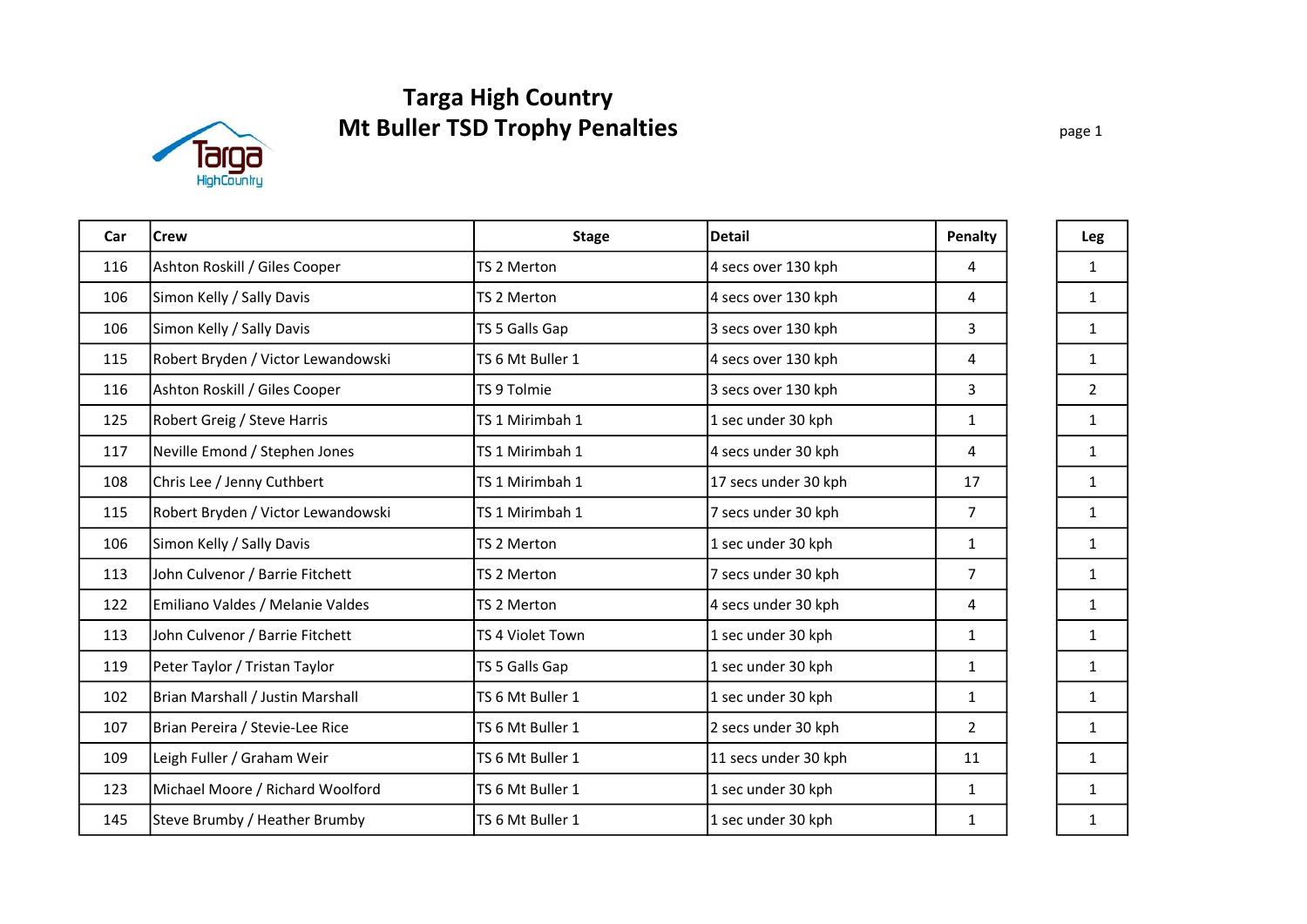# Mt Buller TSD Trophy Penalties Targa High Country



| Car | <b>Crew</b>                        | <b>Stage</b>     | <b>Detail</b>        | Penalty        | Leg            |
|-----|------------------------------------|------------------|----------------------|----------------|----------------|
| 116 | Ashton Roskill / Giles Cooper      | TS 2 Merton      | 4 secs over 130 kph  | 4              | $\mathbf{1}$   |
| 106 | Simon Kelly / Sally Davis          | TS 2 Merton      | 4 secs over 130 kph  | 4              | $\mathbf{1}$   |
| 106 | Simon Kelly / Sally Davis          | TS 5 Galls Gap   | 3 secs over 130 kph  | 3              | $\mathbf{1}$   |
| 115 | Robert Bryden / Victor Lewandowski | TS 6 Mt Buller 1 | 4 secs over 130 kph  | 4              | $\mathbf{1}$   |
| 116 | Ashton Roskill / Giles Cooper      | TS 9 Tolmie      | 3 secs over 130 kph  | 3              | $\overline{2}$ |
| 125 | Robert Greig / Steve Harris        | TS 1 Mirimbah 1  | 1 sec under 30 kph   | $\mathbf{1}$   | $\mathbf{1}$   |
| 117 | Neville Emond / Stephen Jones      | TS 1 Mirimbah 1  | 4 secs under 30 kph  | 4              | $\mathbf{1}$   |
| 108 | Chris Lee / Jenny Cuthbert         | TS 1 Mirimbah 1  | 17 secs under 30 kph | 17             | $\mathbf{1}$   |
| 115 | Robert Bryden / Victor Lewandowski | TS 1 Mirimbah 1  | 7 secs under 30 kph  | $\overline{7}$ | $\mathbf{1}$   |
| 106 | Simon Kelly / Sally Davis          | TS 2 Merton      | 1 sec under 30 kph   | $\mathbf{1}$   | $\mathbf{1}$   |
| 113 | John Culvenor / Barrie Fitchett    | TS 2 Merton      | 7 secs under 30 kph  | $\overline{7}$ | $\mathbf{1}$   |
| 122 | Emiliano Valdes / Melanie Valdes   | TS 2 Merton      | 4 secs under 30 kph  | 4              | $\mathbf{1}$   |
| 113 | John Culvenor / Barrie Fitchett    | TS 4 Violet Town | 1 sec under 30 kph   | $\mathbf{1}$   | $\mathbf{1}$   |
| 119 | Peter Taylor / Tristan Taylor      | TS 5 Galls Gap   | 1 sec under 30 kph   | $\mathbf{1}$   | $\mathbf{1}$   |
| 102 | Brian Marshall / Justin Marshall   | TS 6 Mt Buller 1 | 1 sec under 30 kph   | $\mathbf{1}$   | $\mathbf{1}$   |
| 107 | Brian Pereira / Stevie-Lee Rice    | TS 6 Mt Buller 1 | 2 secs under 30 kph  | $\overline{2}$ | $\mathbf{1}$   |
| 109 | Leigh Fuller / Graham Weir         | TS 6 Mt Buller 1 | 11 secs under 30 kph | 11             | $\mathbf{1}$   |
| 123 | Michael Moore / Richard Woolford   | TS 6 Mt Buller 1 | 1 sec under 30 kph   | $\mathbf{1}$   | $\mathbf{1}$   |
| 145 | Steve Brumby / Heather Brumby      | TS 6 Mt Buller 1 | 1 sec under 30 kph   | 1              | $\mathbf{1}$   |

page 1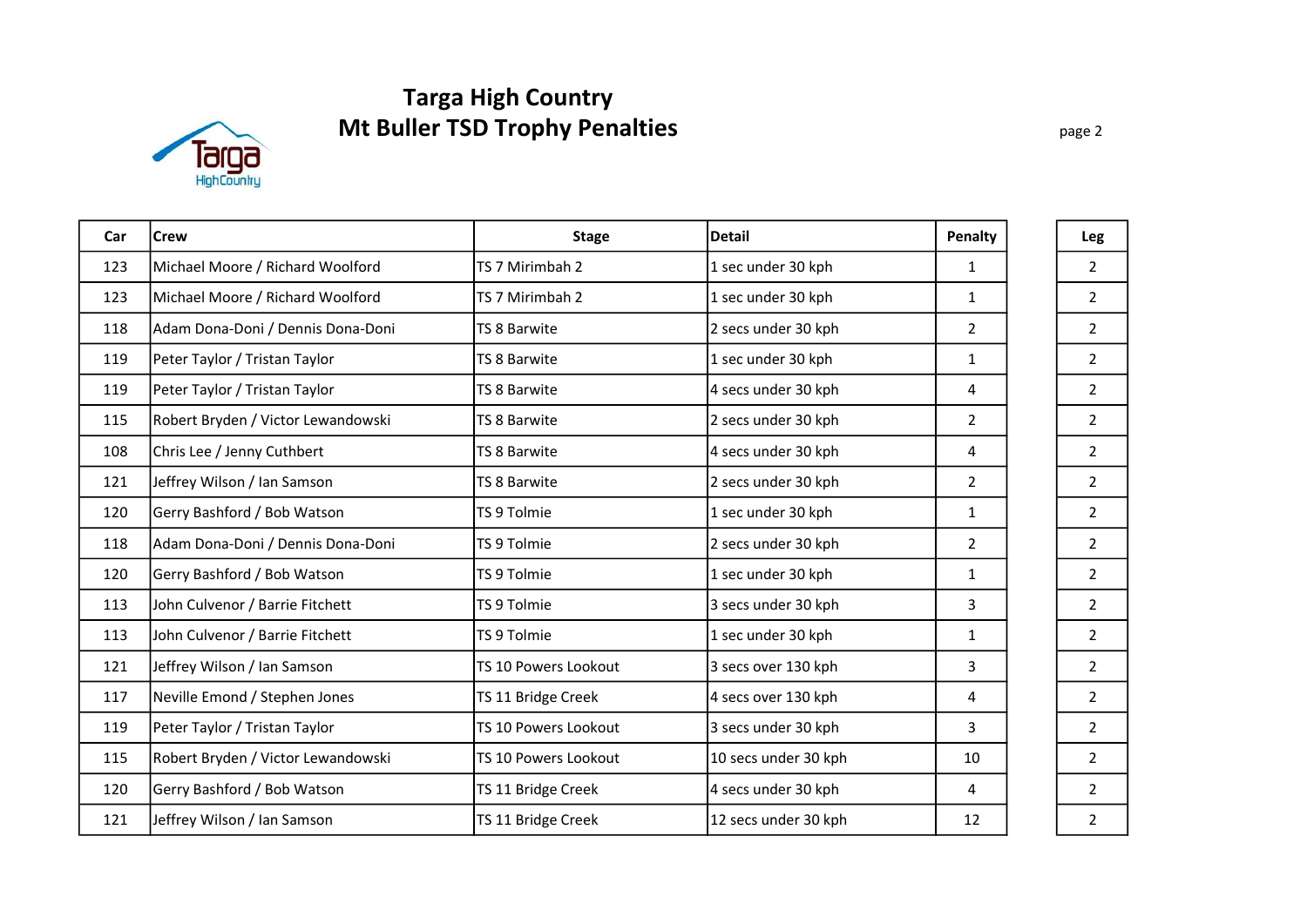# Targa High Country Mt Buller TSD Trophy Penalties



| Car | <b>Crew</b>                        | <b>Stage</b>         | <b>Detail</b>        | Penalty        | Leg            |
|-----|------------------------------------|----------------------|----------------------|----------------|----------------|
| 123 | Michael Moore / Richard Woolford   | TS 7 Mirimbah 2      | 1 sec under 30 kph   | $\mathbf{1}$   | $\overline{2}$ |
| 123 | Michael Moore / Richard Woolford   | TS 7 Mirimbah 2      | 1 sec under 30 kph   | $\mathbf{1}$   | $\overline{2}$ |
| 118 | Adam Dona-Doni / Dennis Dona-Doni  | TS 8 Barwite         | 2 secs under 30 kph  | $\overline{2}$ | $\overline{2}$ |
| 119 | Peter Taylor / Tristan Taylor      | TS 8 Barwite         | 1 sec under 30 kph   | $\mathbf{1}$   | $\overline{2}$ |
| 119 | Peter Taylor / Tristan Taylor      | TS 8 Barwite         | 4 secs under 30 kph  | 4              | $2^{\circ}$    |
| 115 | Robert Bryden / Victor Lewandowski | TS 8 Barwite         | 2 secs under 30 kph  | $\overline{2}$ | $\overline{2}$ |
| 108 | Chris Lee / Jenny Cuthbert         | TS 8 Barwite         | 4 secs under 30 kph  | 4              | $\overline{2}$ |
| 121 | Jeffrey Wilson / Ian Samson        | TS 8 Barwite         | 2 secs under 30 kph  | $\overline{2}$ | $\overline{2}$ |
| 120 | Gerry Bashford / Bob Watson        | TS 9 Tolmie          | 1 sec under 30 kph   | $\mathbf{1}$   | $\overline{2}$ |
| 118 | Adam Dona-Doni / Dennis Dona-Doni  | TS 9 Tolmie          | 2 secs under 30 kph  | $\overline{2}$ | $\overline{2}$ |
| 120 | Gerry Bashford / Bob Watson        | TS 9 Tolmie          | 1 sec under 30 kph   | $\mathbf{1}$   | $2^{\circ}$    |
| 113 | John Culvenor / Barrie Fitchett    | TS 9 Tolmie          | 3 secs under 30 kph  | 3              | $\overline{2}$ |
| 113 | John Culvenor / Barrie Fitchett    | TS 9 Tolmie          | 1 sec under 30 kph   | $\mathbf{1}$   | $\overline{2}$ |
| 121 | Jeffrey Wilson / Ian Samson        | TS 10 Powers Lookout | 3 secs over 130 kph  | 3              | $\overline{2}$ |
| 117 | Neville Emond / Stephen Jones      | TS 11 Bridge Creek   | 4 secs over 130 kph  | 4              | $\overline{2}$ |
| 119 | Peter Taylor / Tristan Taylor      | TS 10 Powers Lookout | 3 secs under 30 kph  | 3              | $\overline{2}$ |
| 115 | Robert Bryden / Victor Lewandowski | TS 10 Powers Lookout | 10 secs under 30 kph | 10             | $\overline{2}$ |
| 120 | Gerry Bashford / Bob Watson        | TS 11 Bridge Creek   | 4 secs under 30 kph  | 4              | $\overline{2}$ |
| 121 | Jeffrey Wilson / Ian Samson        | TS 11 Bridge Creek   | 12 secs under 30 kph | 12             | $\overline{2}$ |

page 2